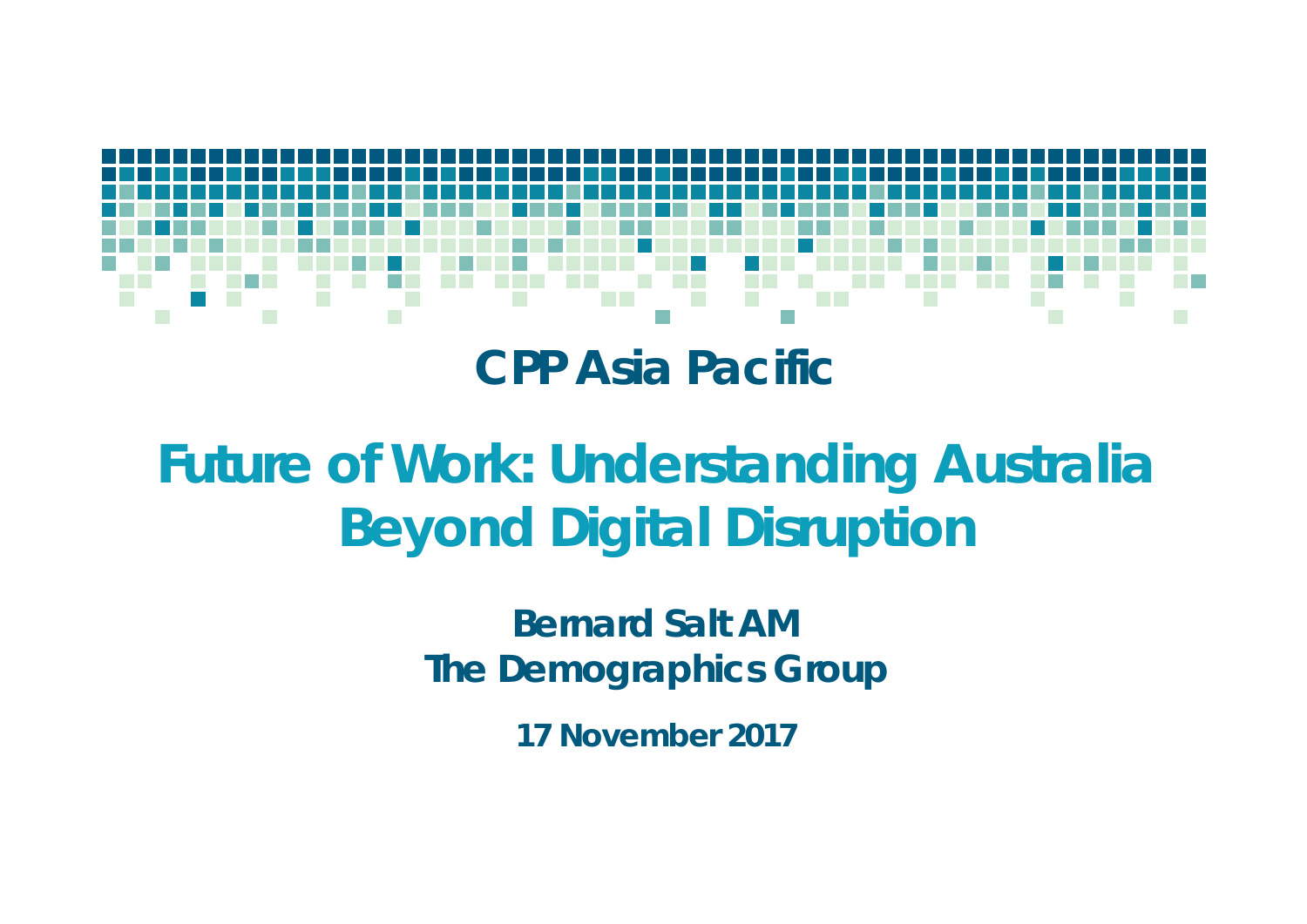

**CPP Asia Pacific**

# **Future of Work: Understanding Australia Beyond Digital Disruption**

**Bernard Salt AMThe Demographics Group**

**17 November 2017**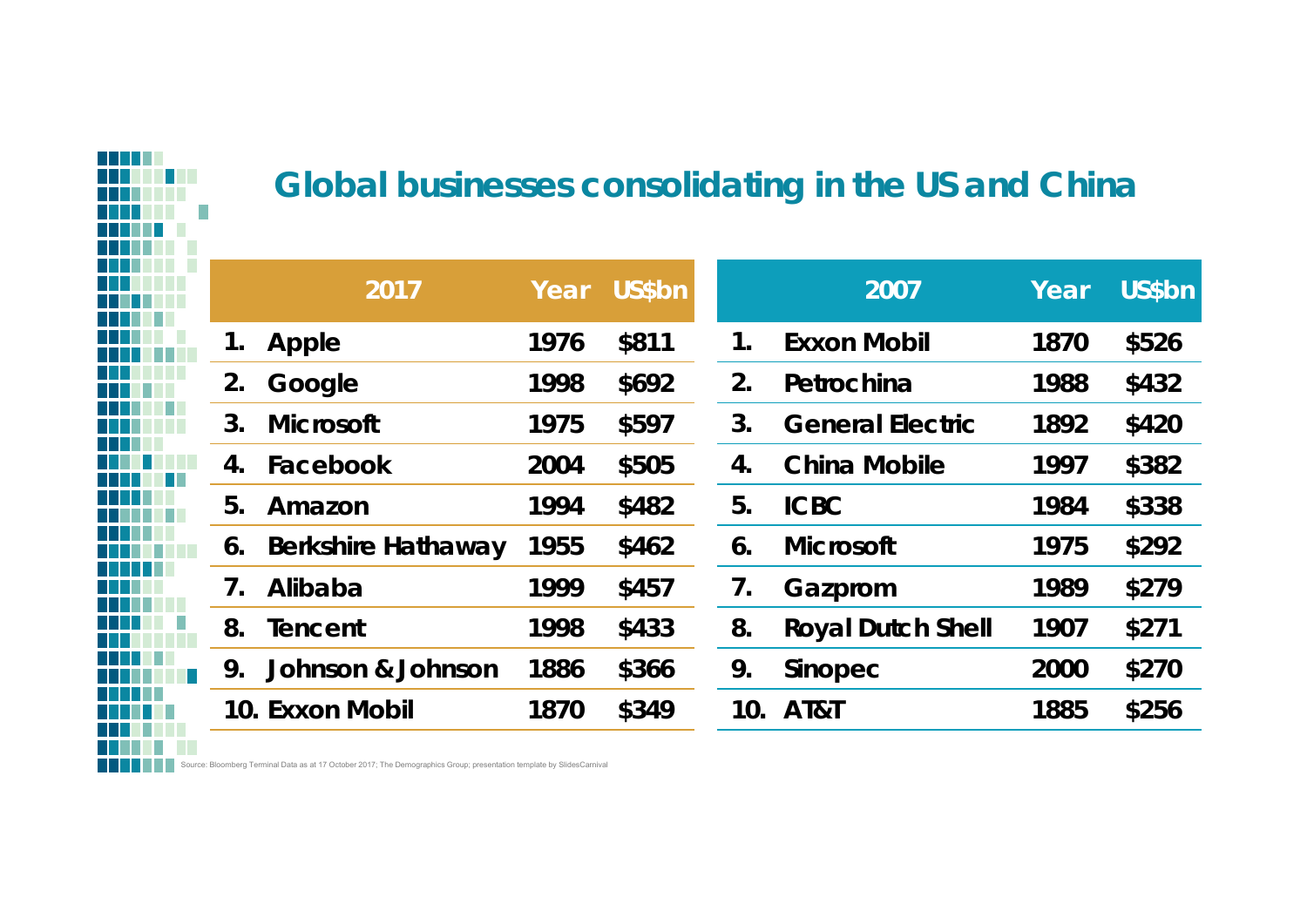## **Global businesses consolidating in the US and China**

|    | 2017                      | Year | US\$ <sub>bn</sub> |                 | 2007                     | Year | US\$bn |
|----|---------------------------|------|--------------------|-----------------|--------------------------|------|--------|
| 1. | Apple                     | 1976 | \$811              | 1.              | <b>Exxon Mobil</b>       | 1870 | \$526  |
| 2. | Google                    | 1998 | \$692              | 2 <sub>1</sub>  | Petrochina               | 1988 | \$432  |
| 3. | <b>Microsoft</b>          | 1975 | \$597              | 3.              | <b>General Electric</b>  | 1892 | \$420  |
| 4. | Facebook                  | 2004 | \$505              | 4.              | <b>China Mobile</b>      | 1997 | \$382  |
| 5. | Amazon                    | 1994 | \$482              | 5.              | <b>ICBC</b>              | 1984 | \$338  |
| 6. | <b>Berkshire Hathaway</b> | 1955 | \$462              | $\mathbf 6$     | <b>Microsoft</b>         | 1975 | \$292  |
| 7. | Alibaba                   | 1999 | \$457              | 7.              | Gazprom                  | 1989 | \$279  |
| 8. | Tencent                   | 1998 | \$433              | 8.              | <b>Royal Dutch Shell</b> | 1907 | \$271  |
| 9. | Johnson & Johnson         | 1886 | \$366              | 9.              | Sinopec                  | 2000 | \$270  |
|    | 10. Exxon Mobil           | 1870 | \$349              | 10 <sub>1</sub> | AT&T                     | 1885 | \$256  |
|    |                           |      |                    |                 |                          |      |        |

Source: Bloomberg Terminal Data as at 17 October 2017; The Demographics Group; presentation template by SlidesCarnival

F F H

П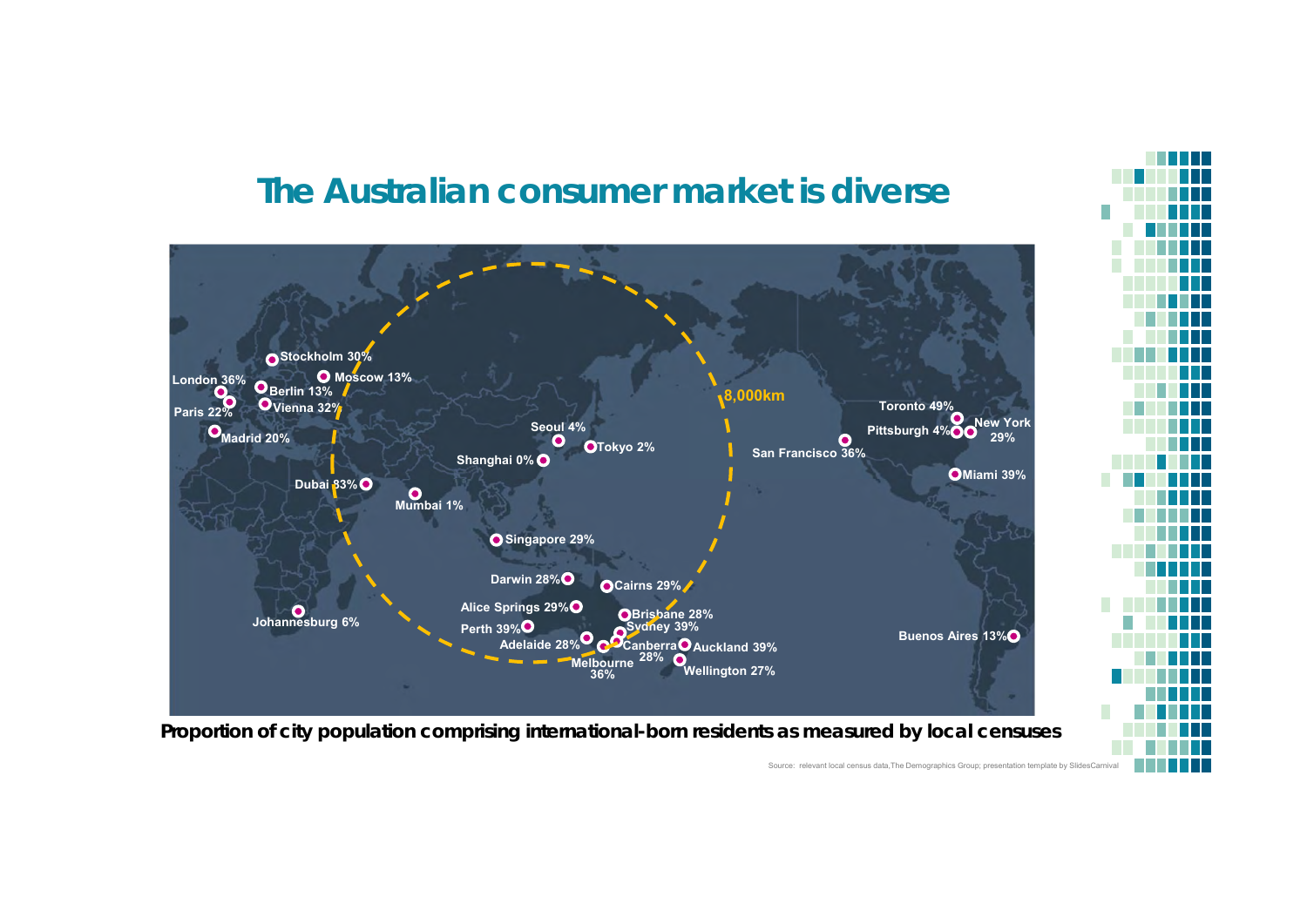### **The Australian consumer market is diverse**



Source: relevant local census data, The Demographics Group; presentation template by SlidesCa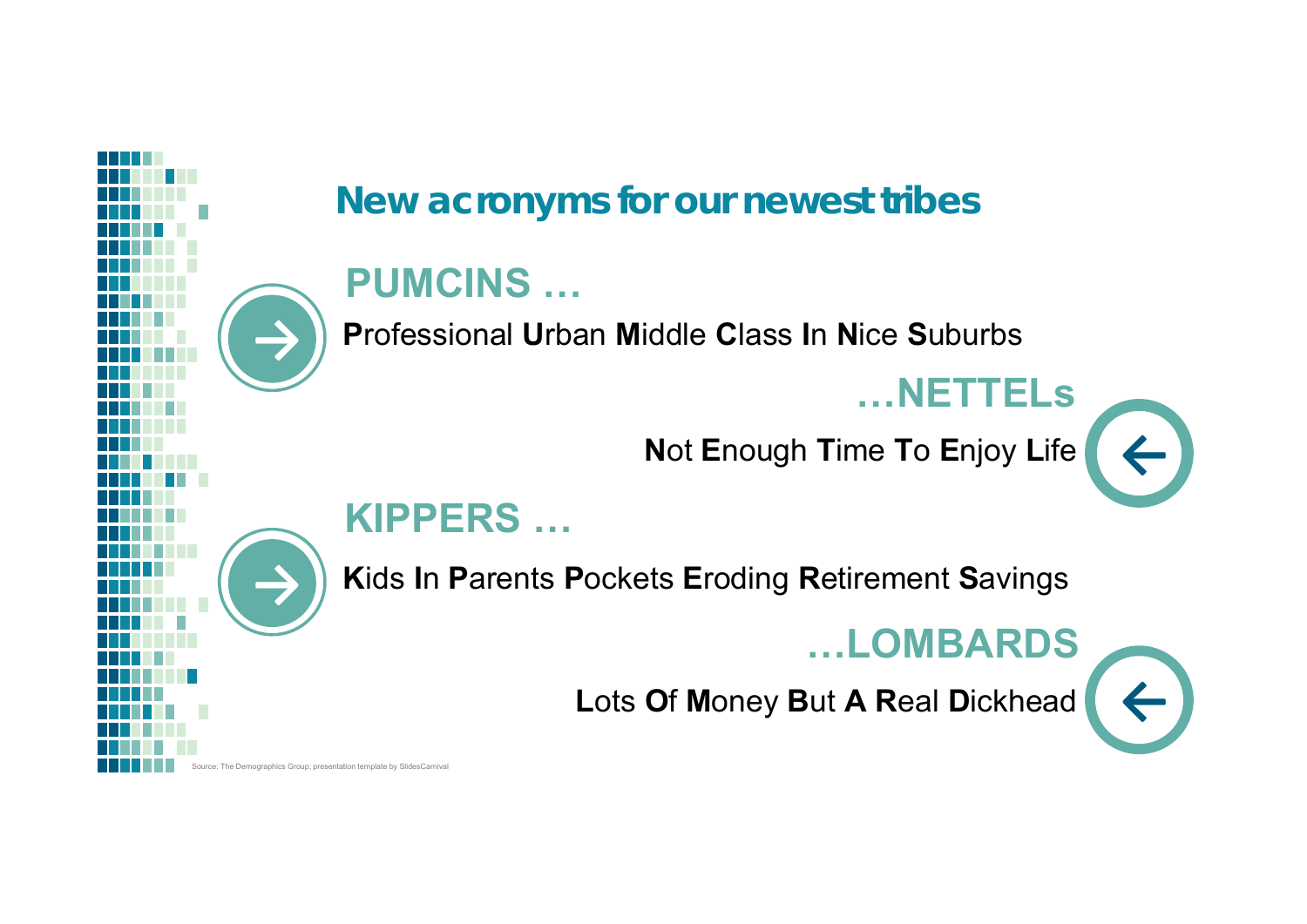## **New acronyms for our newest tribes PUMCINS …→ P**rofessional **U**rban **M**iddle **C**lass **I**n **N**ice **S**uburbs **…NETTELs N**ot **E**nough **T**ime **T**o **E**njoy **L**ife **← KIPPERS …→ K**ids **I**n **P**arents **P**ockets **E**roding **R**etirement **S**avings **…LOMBARDS L**ots **O**f **M**oney **B**ut **A R**eal **D**ickhead **←** ource: The Demographics Group; presentation template by SlidesCarnival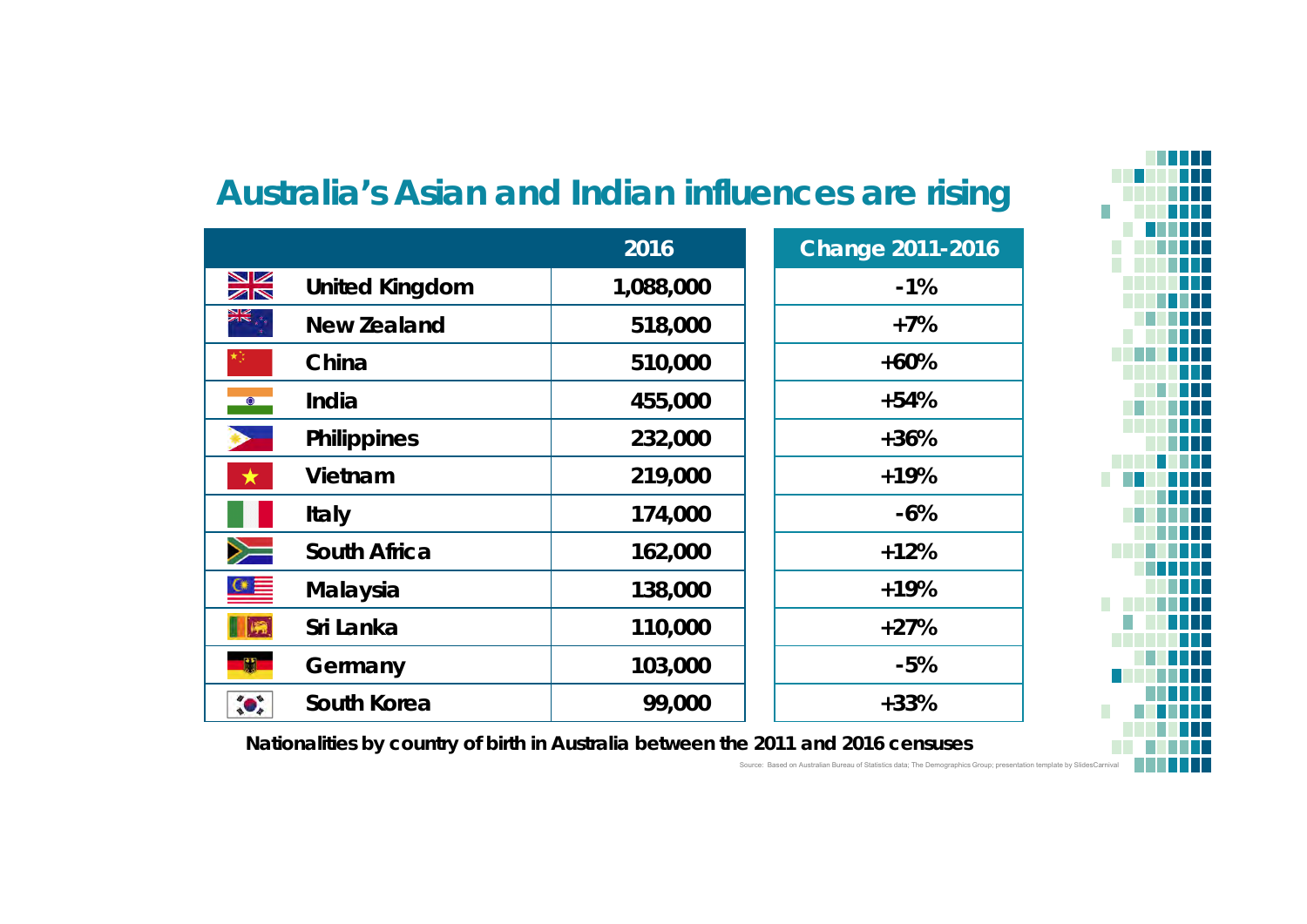## **Australia's Asian and Indian influences are rising**

|                                 | 2016      | <b>Change 2011-2016</b> |
|---------------------------------|-----------|-------------------------|
| XK<br><b>United Kingdom</b>     | 1,088,000 | $-1%$                   |
| <b>AK</b><br><b>New Zealand</b> | 518,000   | $+7%$                   |
| China                           | 510,000   | $+60%$                  |
| India<br>$\bullet$              | 455,000   | $+54%$                  |
| <b>Philippines</b>              | 232,000   | $+36%$                  |
| $\bigstar$<br>Vietnam           | 219,000   | $+19%$                  |
| <b>Italy</b>                    | 174,000   | $-6%$                   |
| $\geq$<br><b>South Africa</b>   | 162,000   | $+12%$                  |
| <b>Malaysia</b>                 | 138,000   | $+19%$                  |
| 峰<br>Sri Lanka                  | 110,000   | $+27%$                  |
| M.<br>Germany                   | 103,000   | $-5%$                   |
| $\bullet$<br>South Korea        | 99,000    | $+33%$                  |



**Nationalities by country of birth in Australia between the 2011 and 2016 censuses**

Source: Based on Australian Bureau of Statistics data; The Demographics Group; presentation template by SlidesCarnival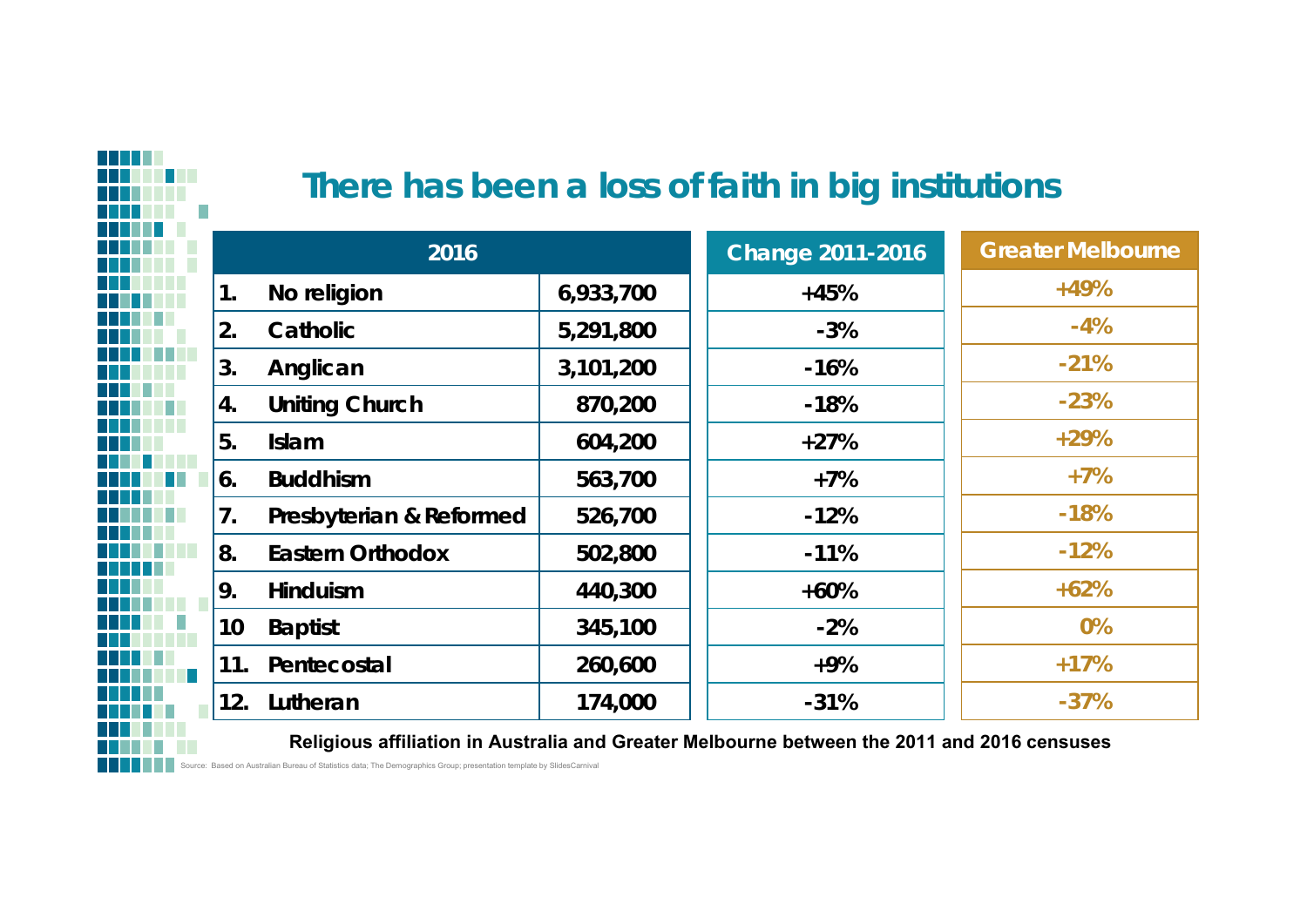## **There has been a loss of faith in big institutions**

|   |                  | 2016                    |           | <b>Change 2011-2016</b> | <b>Greater Melbourne</b> |
|---|------------------|-------------------------|-----------|-------------------------|--------------------------|
|   | 1.               | No religion             | 6,933,700 | $+45%$                  | $+49%$                   |
|   | 2.               | Catholic                | 5,291,800 | $-3%$                   | $-4%$                    |
|   | 3.               | Anglican                | 3,101,200 | $-16%$                  | $-21%$                   |
|   | 4.               | <b>Uniting Church</b>   | 870,200   | $-18%$                  | $-23%$                   |
|   | 5.               | <b>Islam</b>            | 604,200   | $+27%$                  | $+29%$                   |
|   | $\vert 6. \vert$ | <b>Buddhism</b>         | 563,700   | $+7%$                   | $+7%$                    |
|   | 7.               | Presbyterian & Reformed | 526,700   | $-12%$                  | $-18%$                   |
|   | 8.               | <b>Eastern Orthodox</b> | 502,800   | $-11%$                  | $-12%$                   |
|   | 9.               | Hinduism                | 440,300   | $+60%$                  | $+62%$                   |
|   | 10               | <b>Baptist</b>          | 345,100   | $-2%$                   | $0\%$                    |
| П | 11.              | Pentecostal             | 260,600   | $+9%$                   | $+17%$                   |
|   | 12.              | Lutheran                | 174,000   | $-31%$                  | $-37%$                   |

**Religious affiliation in Australia and Greater Melbourne between the 2011 and 2016 censuses**

Source: Based on Australian Bureau of Statistics data; The Demographics Group; presentation template by SlidesCarnival

**The Co**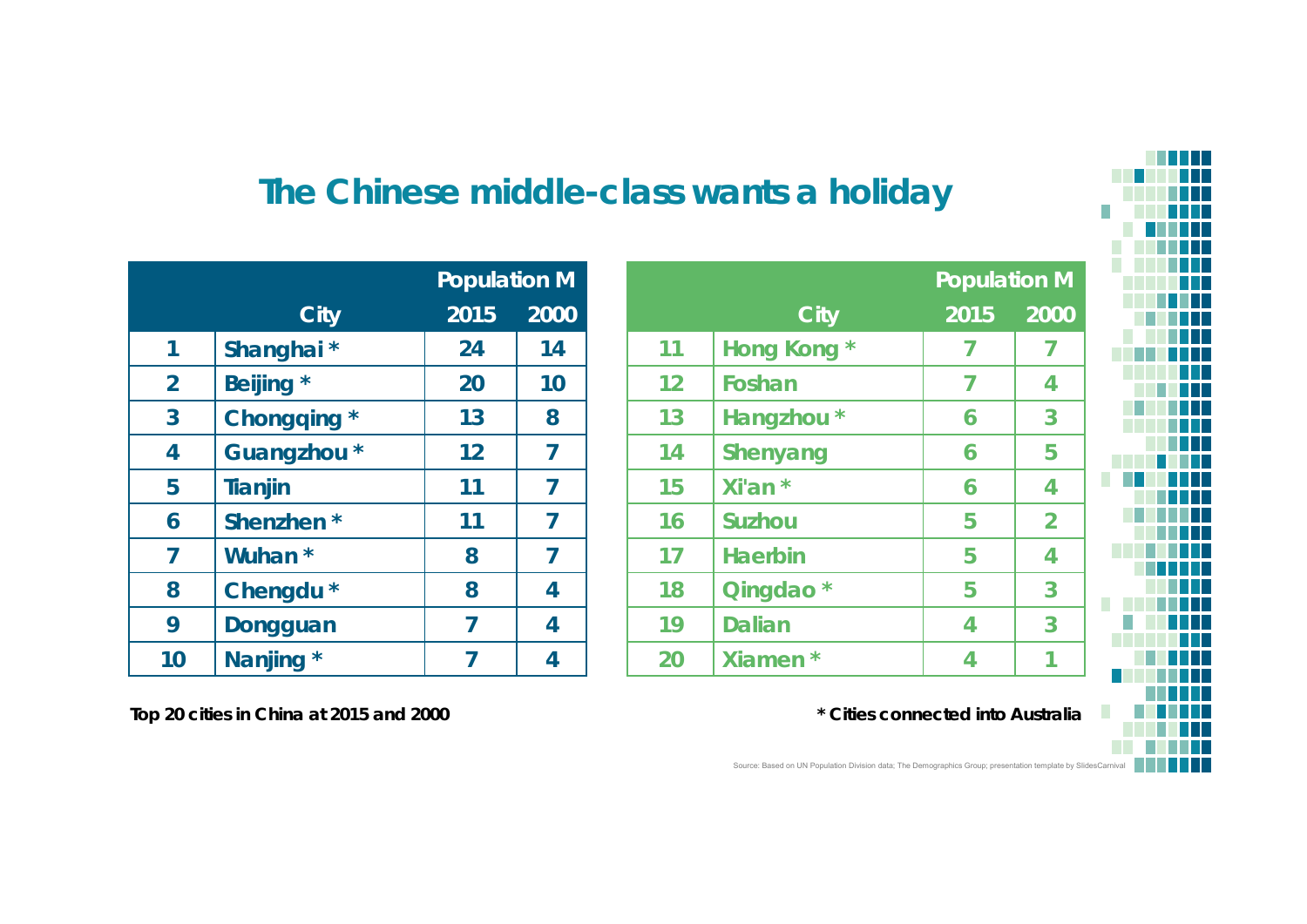## **The Chinese middle-class wants a holiday**

|                |                       | <b>Population M</b> |      |
|----------------|-----------------------|---------------------|------|
|                | City                  | 2015                | 2000 |
| 1              | Shanghai*             | 24                  | 14   |
| $\overline{2}$ | Beijing *             | 20                  | 10   |
| 3              | <b>Chongqing</b><br>∗ | 13                  | 8    |
| 4              | Guangzhou *           | 12                  | 7    |
| 5              | Tianjin               | 11                  | 7    |
| 6              | Shenzhen <sup>*</sup> | 11                  | 7    |
| 7              | Wuhan <sup>*</sup>    | 8                   | 7    |
| 8              | Chengdu <sup>*</sup>  | 8                   | 4    |
| 9              | <b>Dongguan</b>       | 7                   | 4    |
| 10             | <b>Nanjing</b>        |                     | 4    |

|    | <b>Population M</b>         |      |                |
|----|-----------------------------|------|----------------|
|    | <b>City</b>                 | 2015 | 2000           |
| 11 | $\star$<br><b>Hong Kong</b> | 7    | 7              |
| 12 | Foshan                      | 7    | 4              |
| 13 | Hangzhou *                  | 6    | 3              |
| 14 | <b>Shenyang</b>             | 6    | 5              |
| 15 | Xi'an *                     | 6    | 4              |
| 16 | <b>Suzhou</b>               | 5    | $\overline{2}$ |
| 17 | <b>Haerbin</b>              | 5    | 4              |
| 18 | Qingdao <sup>*</sup>        | 5    | 3              |
| 19 | <b>Dalian</b>               | 4    | 3              |
| 20 | <b>Xiamen</b><br>*          | 4    |                |

**Top 20 cities in China at 2015 and 2000**

**\* Cities connected into Australia**



Source: Based on UN Population Division data; The Demographics Group; presentation template by SlidesCarnival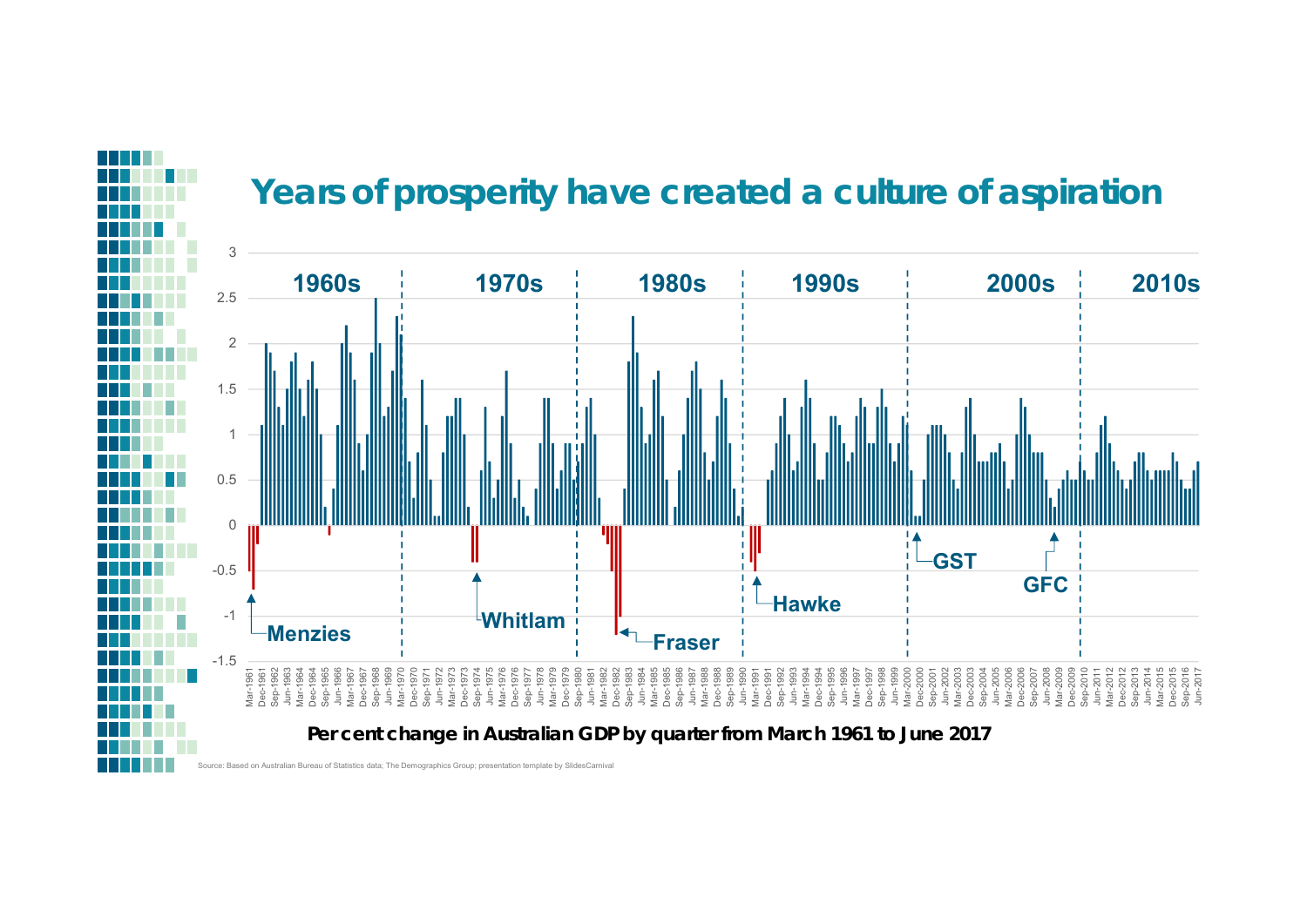

ource: Based on Australian Bureau of Statistics data; The Demographics Group; presentation template by SlidesCarnival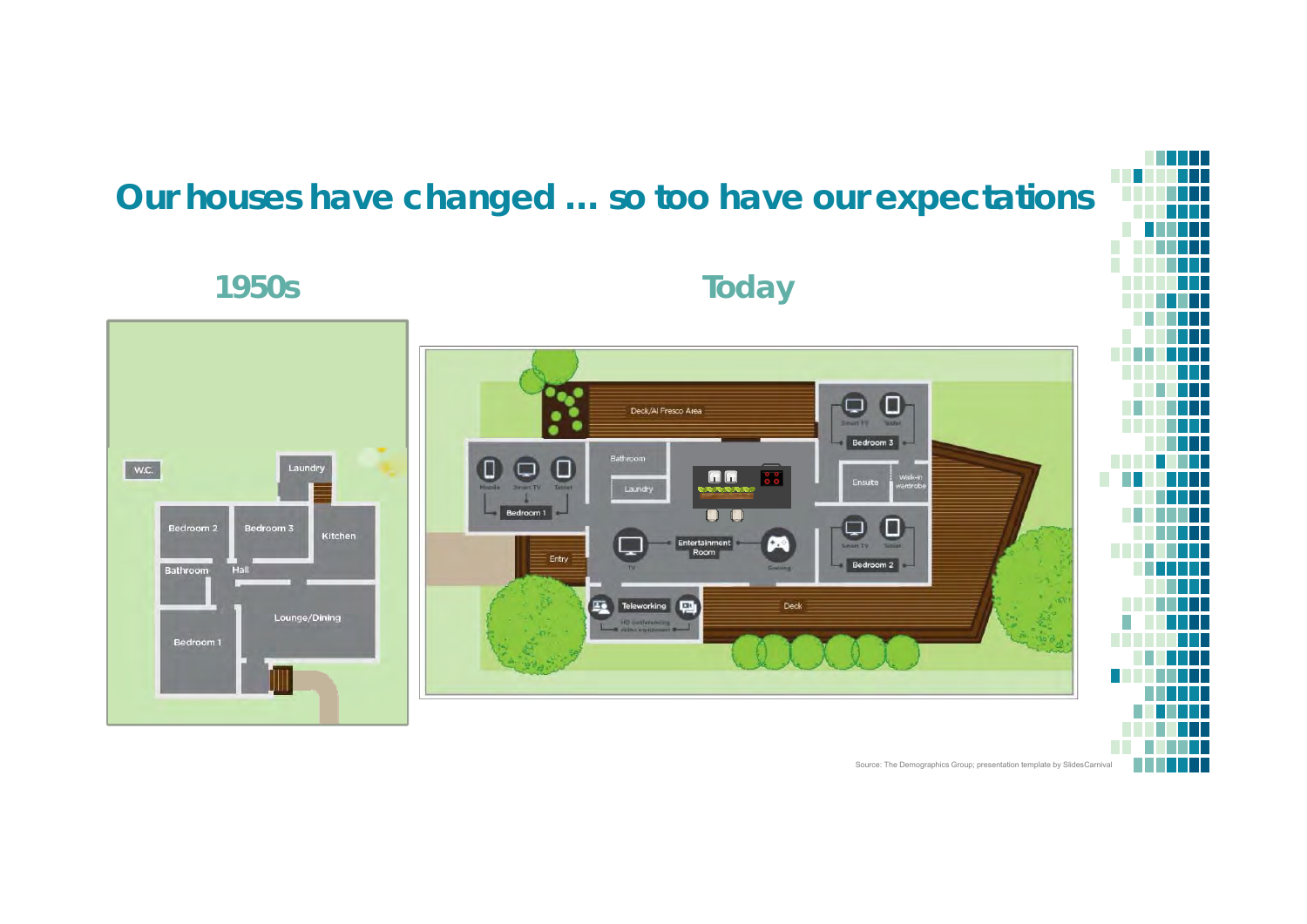## **Our houses have changed … so too have our expectations**

**1950s**

## **Today**





Source: The Demographics Group; presentation template by SlidesCarnival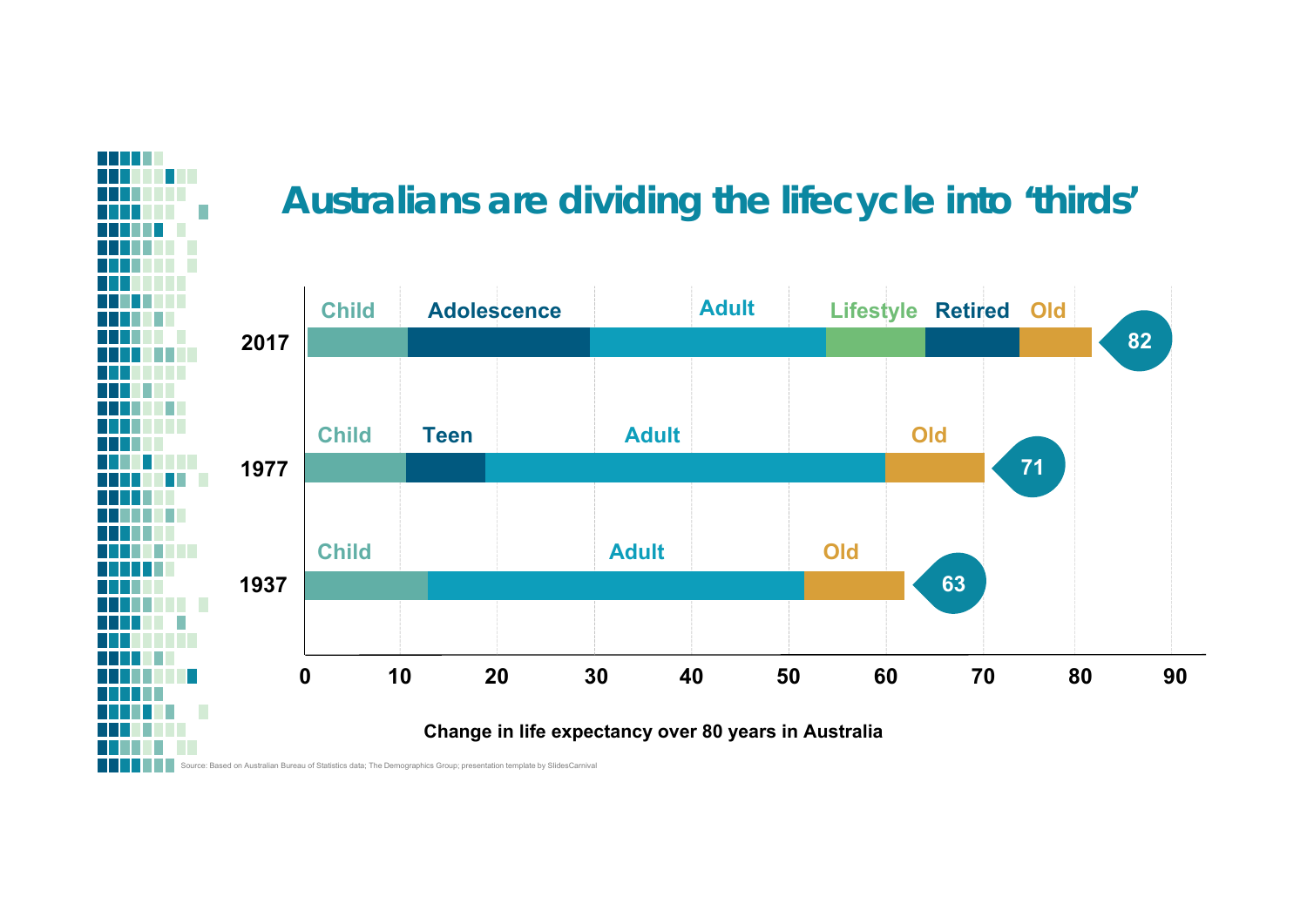## **Australians are dividing the lifecycle into 'thirds'**



Source: Based on Australian Bureau of Statistics data; The Demographics Group; presentation template by SlidesCarnival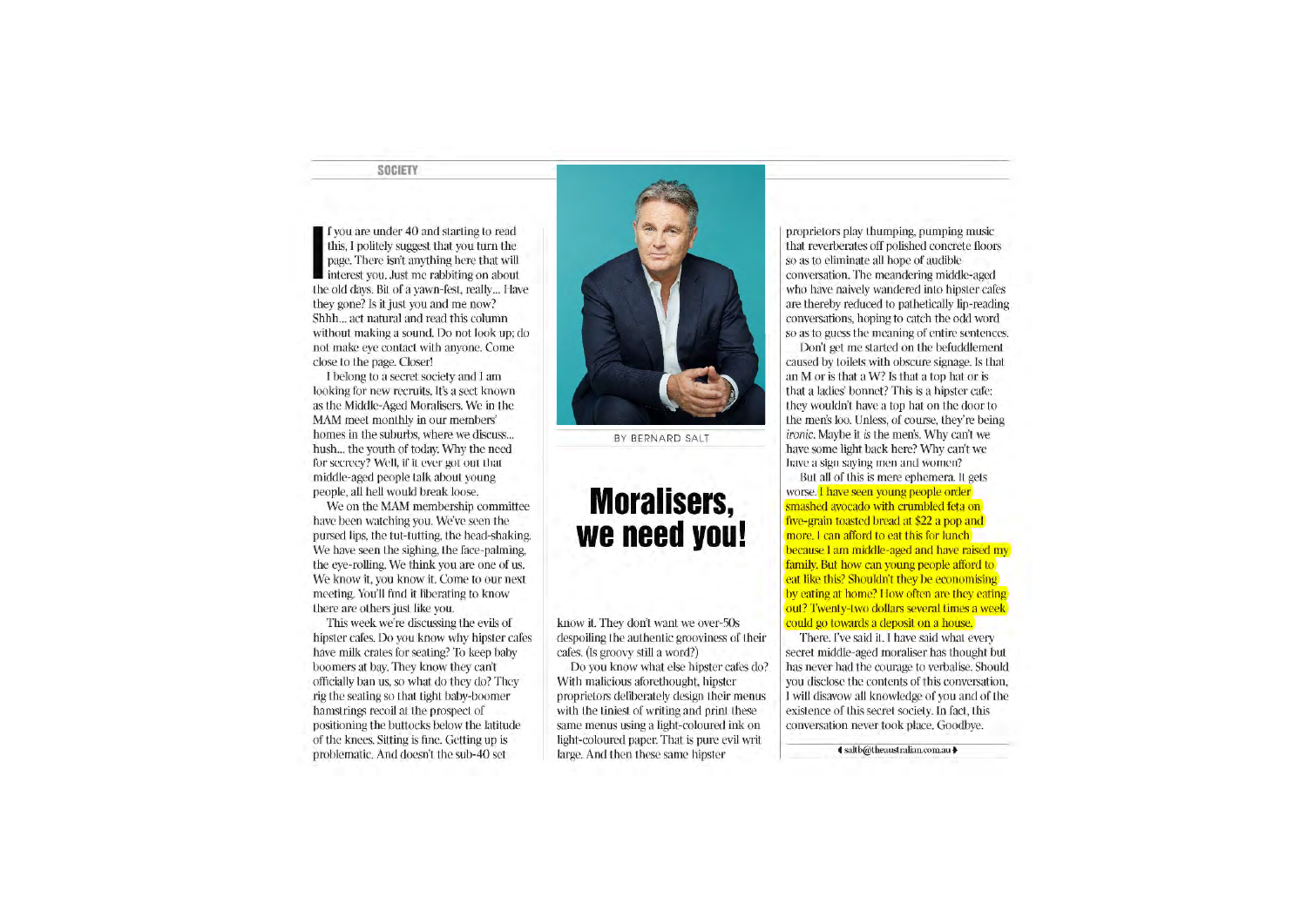f you are under 40 and starting to read this. I politely suggest that you turn the page. There isn't anything here that will interest you, Just me rabbiting on about The old days. Bit of a yawn-fest, really... Have they gone? Is it just you and me now? Shhh... act natural and read this column without making a sound. Do not look up: do not make eye contact with anyone. Come close to the page. Closer!

I belong to a secret society and I am looking for new recruits. It's a sect known as the Middle-Aged Moralisers. We in the MAM meet monthly in our members' homes in the suburbs, where we discuss... hush... the youth of today. Why the need for secrecy? Well, if it ever got out that middle-aged people talk about young people, all hell would break loose.

We on the MAM membership committee have been watching you. We've seen the pursed lips, the tut-tutting, the head-shaking. We have seen the sighing, the face-palming. the eve-rolling. We think you are one of us. We know it, you know it. Come to our next meeting. You'll find it liberating to know there are others just like you.

This week we're discussing the evils of hipster cafes. Do you know why hipster cafes have milk crates for seating? To keep baby boomers at bay. They know they can't officially ban us, so what do they do? They rig the seating so that tight baby-boomer hamstrings recoil at the prospect of positioning the buttocks below the latitude of the knees. Sitting is fine. Getting up is problematic. And doesn't the sub-40 set



BY BERNARD SALT

#### **Moralisers,** we need you!

know it. They don't want we over-50s despoiling the authentic grooviness of their cafes. (Is groovy still a word?)

Do you know what else hipster cafes do? With malicious aforethought, hipster proprietors deliberately design their menus with the tiniest of writing and print these same menus using a light-coloured ink on light-coloured paper. That is pure evil writ large. And then these same hipster

proprietors play thumping, pumping music that reverberates off polished concrete floors so as to eliminate all hope of audible conversation. The meandering middle-aged who have naively wandered into hinster cafes are thereby reduced to pathetically lip-reading conversations, hoping to catch the odd word so as to guess the meaning of entire sentences.

Don't get me started on the befuddlement caused by toilets with obscure signage. Is that an M or is that a W? Is that a top hat or is that a ladies' bonnet? This is a hipster cafe: they wouldn't have a top hat on the door to the men's loo. Unless, of course, they're being ironic. Maybe it is the men's. Why can't we have some light back here? Why can't we have a sign saying men and women?

But all of this is mere ephemera. It gets worse. I have seen young people order smashed avocado with crumbled feta on five-grain toasted bread at \$22 a pop and more. I can afford to eat this for lunch because I am middle-aged and have raised my family. But how can young people afford to eat like this? Shouldn't they be economising by eating at home? How often are they eating out? Twenty-two dollars several times a week could go towards a deposit on a house.

There, I've said it. I have said what every secret middle-aged moraliser has thought but has never had the courage to verbalise. Should you disclose the contents of this conversation. I will disayow all knowledge of you and of the existence of this secret society. In fact, this conversation never took place. Goodbye,

**4** saltb@theaustralian.com.au →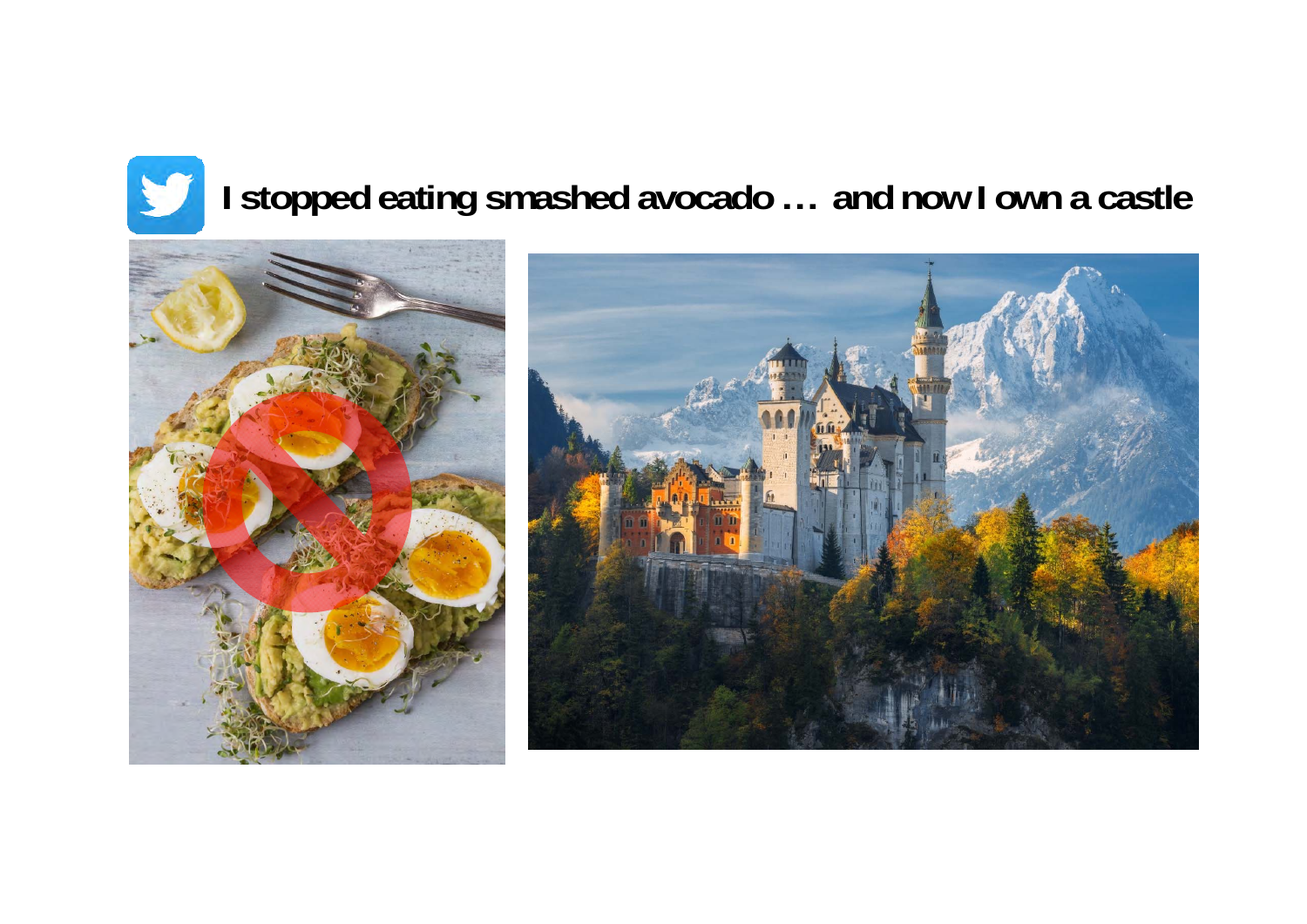



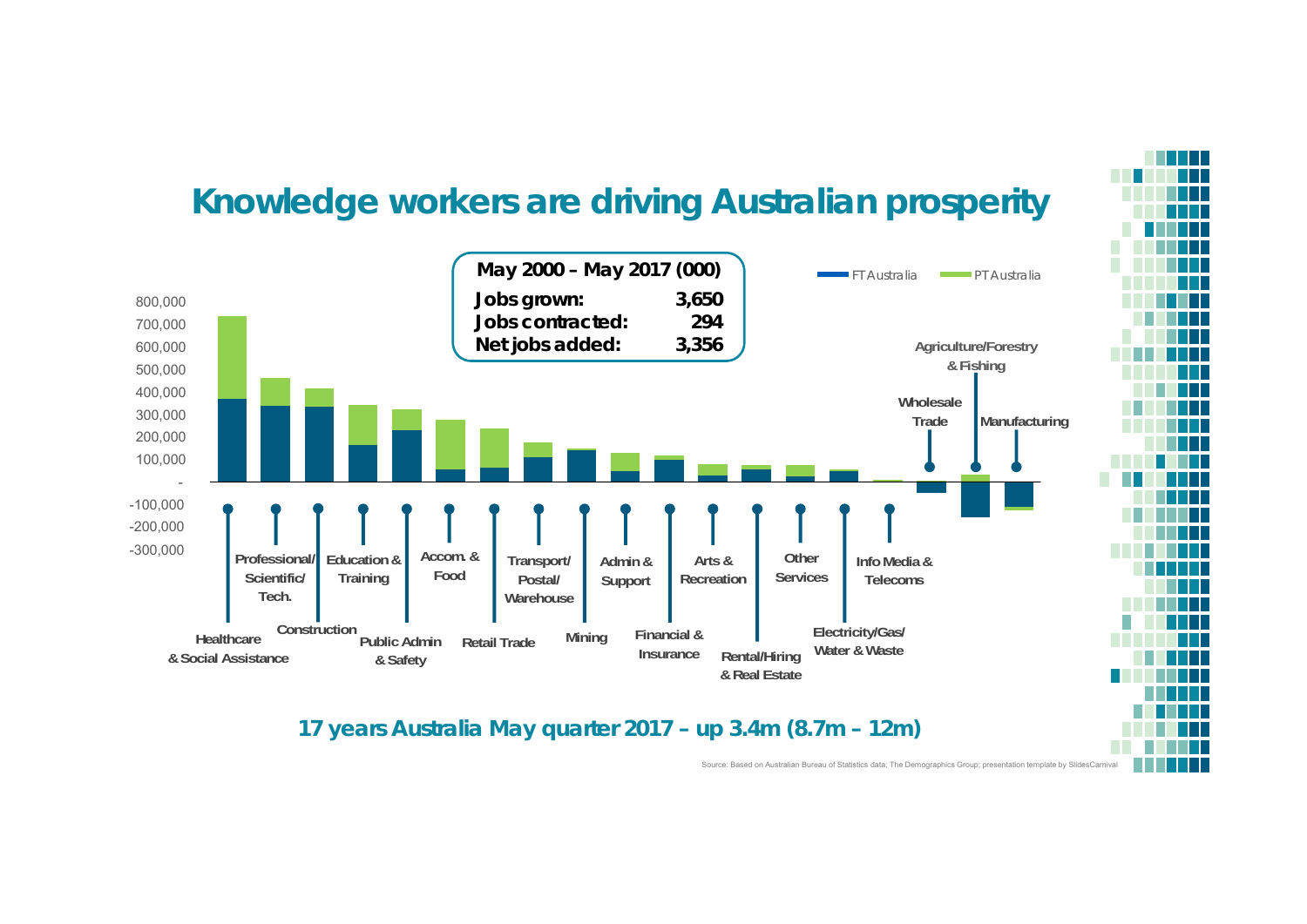



**17 years Australia May quarter 2017 – up 3.4m (8.7m – 12m)**

Source: Based on Australian Bureau of Statistics data; The Demographics Group; presentation template by SlidesCarnival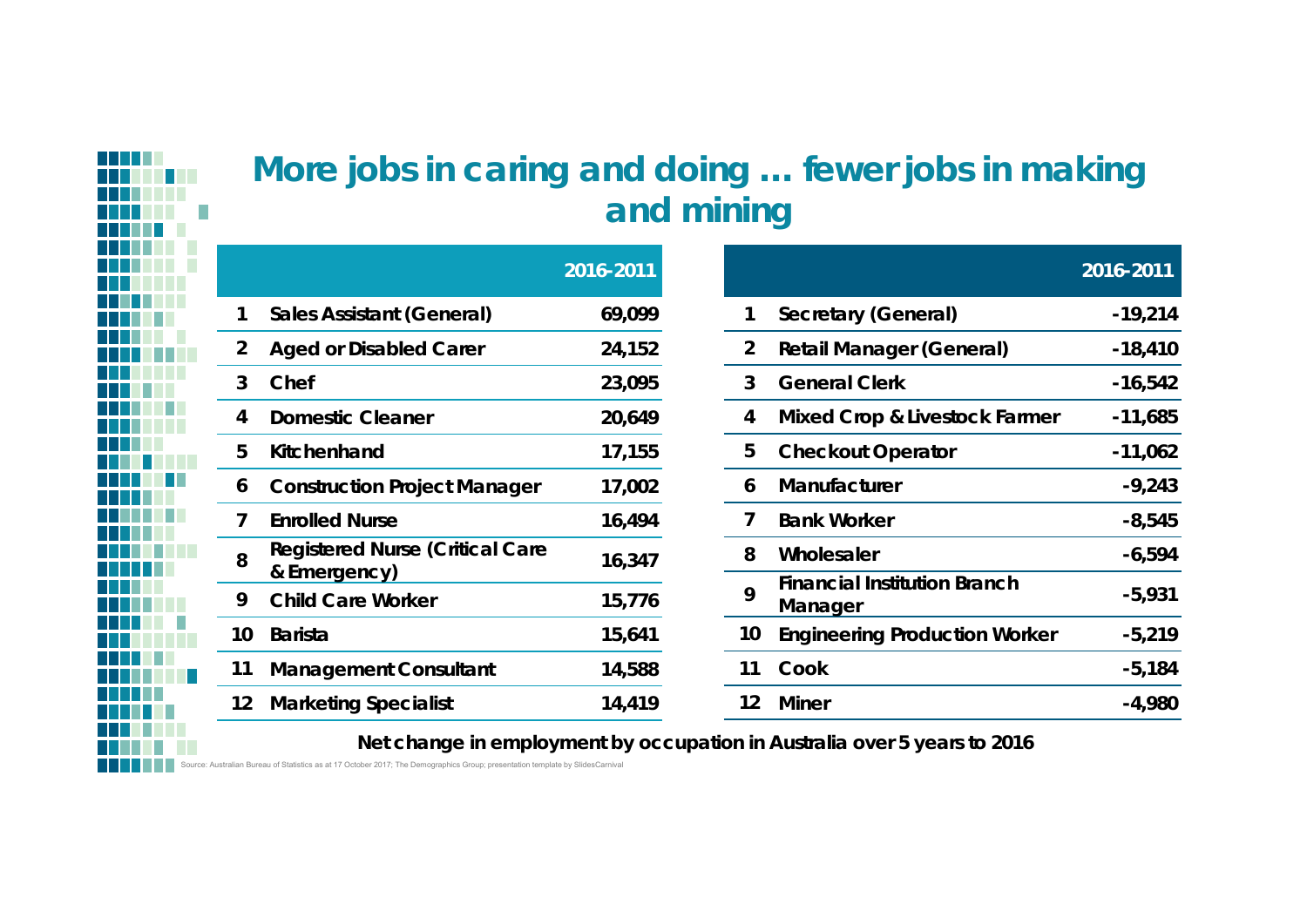## **More jobs in caring and doing … fewer jobs in making and mining**

|                |                                                        | 2016-2011 |
|----------------|--------------------------------------------------------|-----------|
| 1              | Sales Assistant (General)                              | 69,099    |
| $\overline{2}$ | <b>Aged or Disabled Carer</b>                          | 24,152    |
| 3              | Chef                                                   | 23,095    |
| 4              | <b>Domestic Cleaner</b>                                | 20,649    |
| 5              | Kitchenhand                                            | 17,155    |
| 6              | <b>Construction Project Manager</b>                    | 17,002    |
| 7              | <b>Enrolled Nurse</b>                                  | 16,494    |
| 8              | <b>Registered Nurse (Critical Care</b><br>& Emergency) | 16,347    |
| 9              | <b>Child Care Worker</b>                               | 15,776    |
| 10             | <b>Barista</b>                                         | 15,641    |
| 11             | <b>Management Consultant</b>                           | 14,588    |
| 12             | <b>Marketing Specialist</b>                            | 14,419    |
|                |                                                        |           |

|                |                                                | 2016-2011 |
|----------------|------------------------------------------------|-----------|
| 1              | Secretary (General)                            | $-19,214$ |
| $\overline{2}$ | <b>Retail Manager (General)</b>                | -18,410   |
| 3              | <b>General Clerk</b>                           | $-16,542$ |
| 4              | <b>Mixed Crop &amp; Livestock Farmer</b>       | -11,685   |
| 5              | <b>Checkout Operator</b>                       | $-11,062$ |
| 6              | Manufacturer                                   | $-9,243$  |
| 7              | <b>Bank Worker</b>                             | $-8,545$  |
| 8              | Wholesaler                                     | $-6,594$  |
| 9              | <b>Financial Institution Branch</b><br>Manager | $-5,931$  |
| 10             | <b>Engineering Production Worker</b>           | $-5,219$  |
| 11             | Cook                                           | $-5,184$  |
| 12             | Miner                                          | -4,980    |

**Net change in employment by occupation in Australia over 5 years to 2016**

Source: Australian Bureau of Statistics as at 17 October 2017; The Demographics Group; presentation template by SlidesCarnival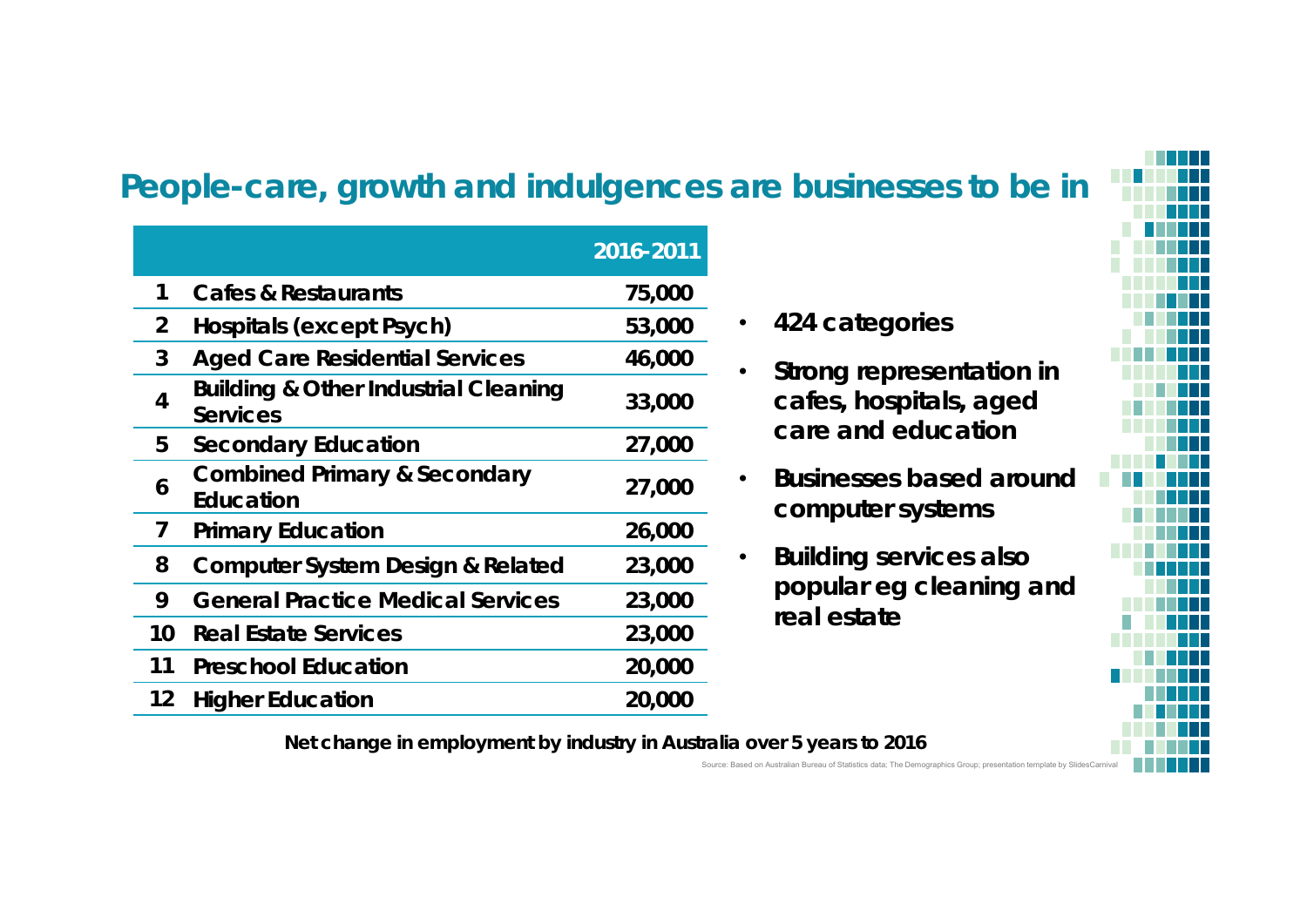### **People-care, growth and indulgences are businesses to be in**

|                |                                                                    | 2016-2011 |
|----------------|--------------------------------------------------------------------|-----------|
| 1              | <b>Cafes &amp; Restaurants</b>                                     | 75,000    |
| $\overline{2}$ | Hospitals (except Psych)                                           | 53,000    |
| 3              | <b>Aged Care Residential Services</b>                              | 46,000    |
| 4              | <b>Building &amp; Other Industrial Cleaning</b><br><b>Services</b> | 33,000    |
| 5              | <b>Secondary Education</b>                                         | 27,000    |
| 6              | <b>Combined Primary &amp; Secondary</b><br><b>Education</b>        | 27,000    |
| 7              | <b>Primary Education</b>                                           | 26,000    |
| 8              | <b>Computer System Design &amp; Related</b>                        | 23,000    |
| 9              | <b>General Practice Medical Services</b>                           | 23,000    |
| 10             | <b>Real Estate Services</b>                                        | 23,000    |
| 11             | <b>Preschool Education</b>                                         | 20,000    |
| 12             | <b>Higher Education</b>                                            | 20,000    |

- •**424 categories**
- • **Strong representation in cafes, hospitals, aged care and education**
- • **Businesses based around computer systems**
- • **Building services also popular eg cleaning and real estate**



**Net change in employment by industry in Australia over 5 years to 2016**

Source: Based on Australian Bureau of Statistics data; The Demographics Group; presentation template by SlidesC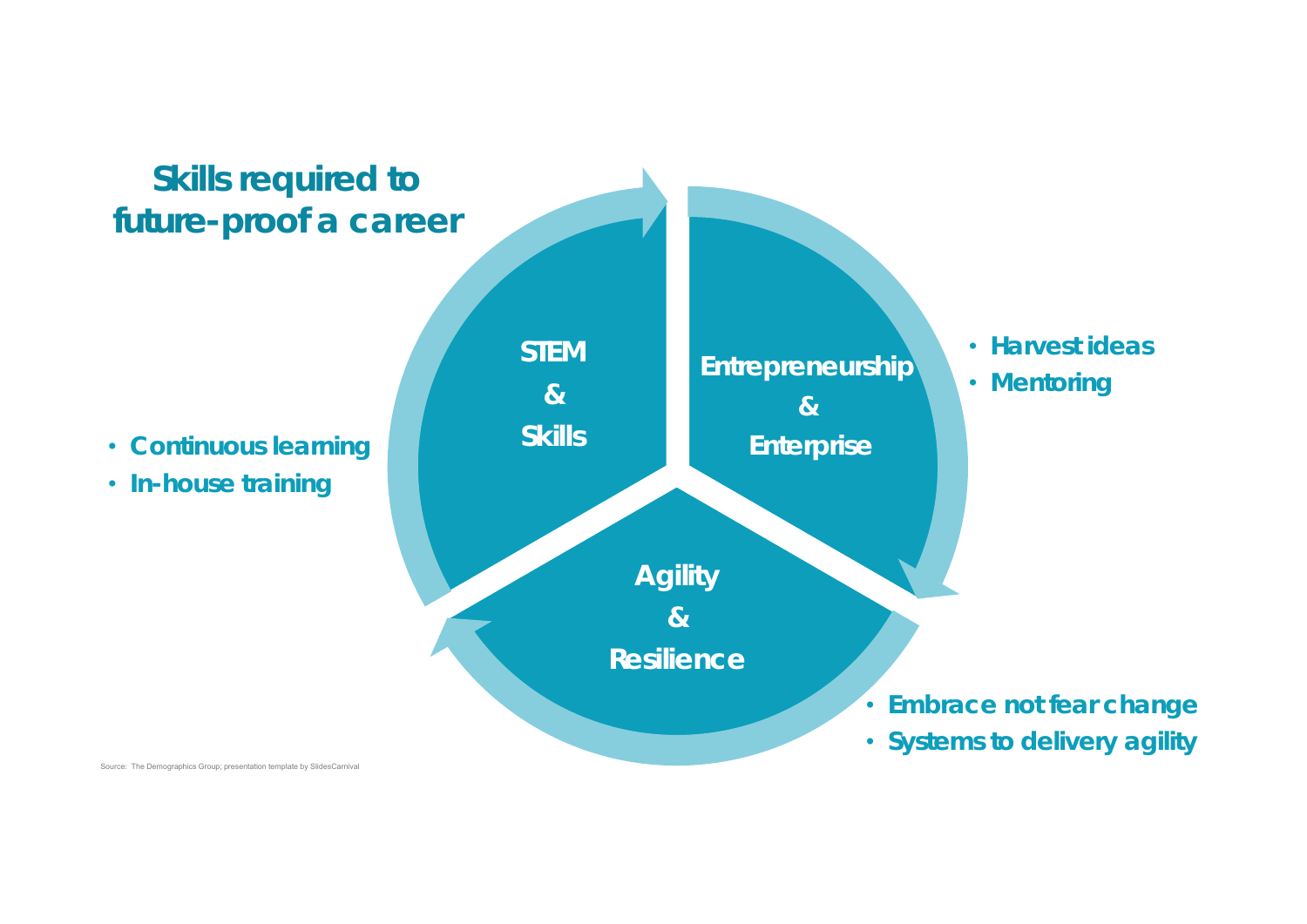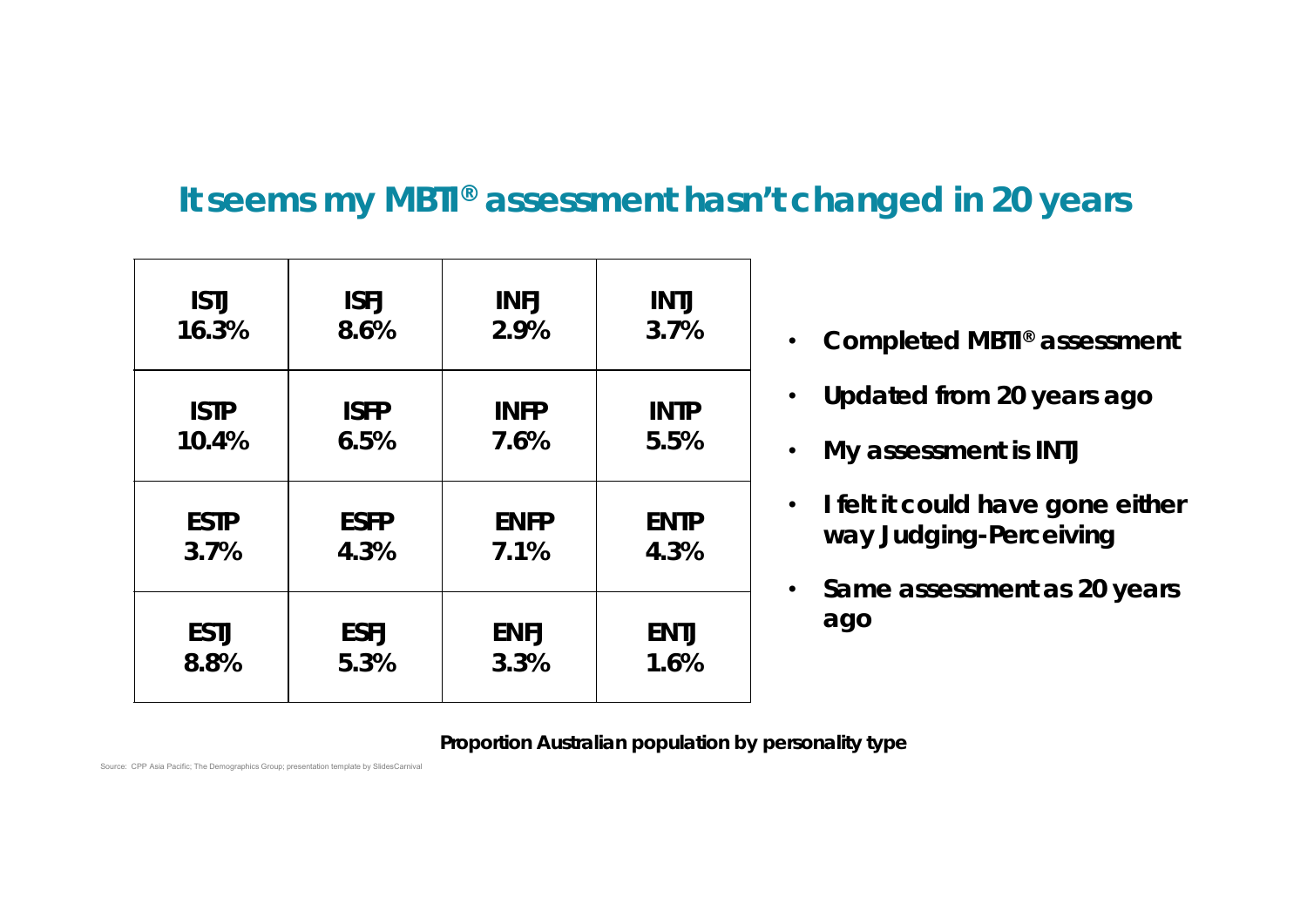## **It seems my MBTI® assessment hasn't changed in 20 years**

| <b>ISTJ</b> | <b>ISFJ</b> | <b>INFJ</b> | <b>INTJ</b> |
|-------------|-------------|-------------|-------------|
| 16.3%       | 8.6%        | 2.9%        | 3.7%        |
| <b>ISTP</b> | <b>ISFP</b> | <b>INFP</b> | <b>INTP</b> |
| 10.4%       | 6.5%        | 7.6%        | 5.5%        |
| <b>ESTP</b> | <b>ESFP</b> | <b>ENFP</b> | <b>ENTP</b> |
| 3.7%        | 4.3%        | 7.1%        | 4.3%        |
| <b>ESTJ</b> | <b>ESFJ</b> | <b>ENFJ</b> | <b>ENTJ</b> |
| 8.8%        | 5.3%        | 3.3%        | 1.6%        |

- **Completed MBTI® assessment**
- •**Updated from 20 years ago**
- **My assessment is INTJ**
- $\bullet$  **I felt it could have gone either way Judging-Perceiving**
- $\bullet$  **Same assessment as 20 years ago**

**Proportion Australian population by personality type**

Source: CPP Asia Pacific; The Demographics Group; presentation template by SlidesCarnival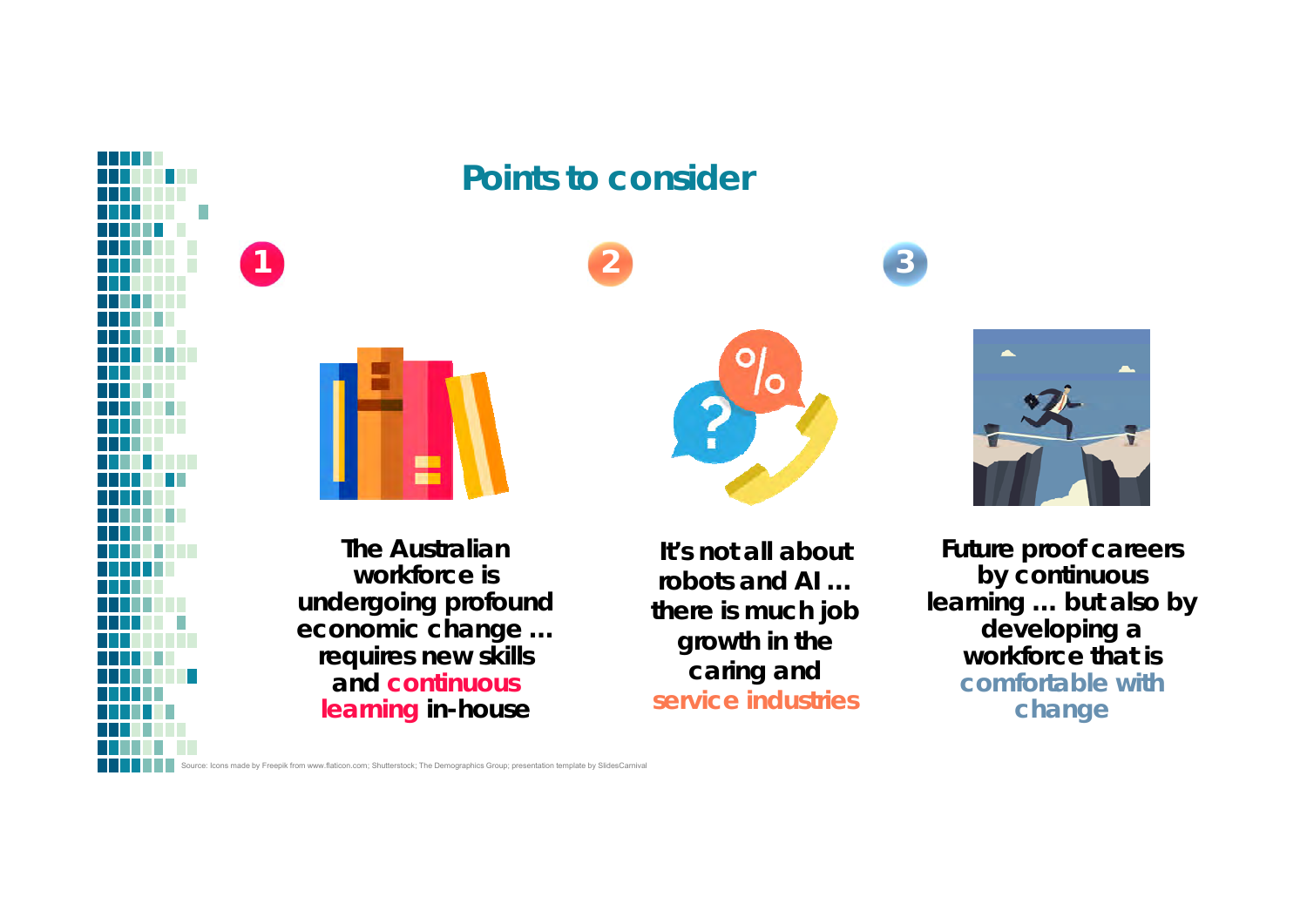**1**

## **Points to consider**

**2**



**The Australian workforce is undergoing profound economic change … requires new skills and continuous learning in-house**

**It's not all about robots and AI … there is much job growth in the caring and service industries**



**3**

**Future proof careers by continuous learning … but also by developing a workforce that is comfortable with change**

Source: Icons made by Freepik from www.flaticon.com; Shutterstock; The Demographics Group; presentation template by SlidesCarnival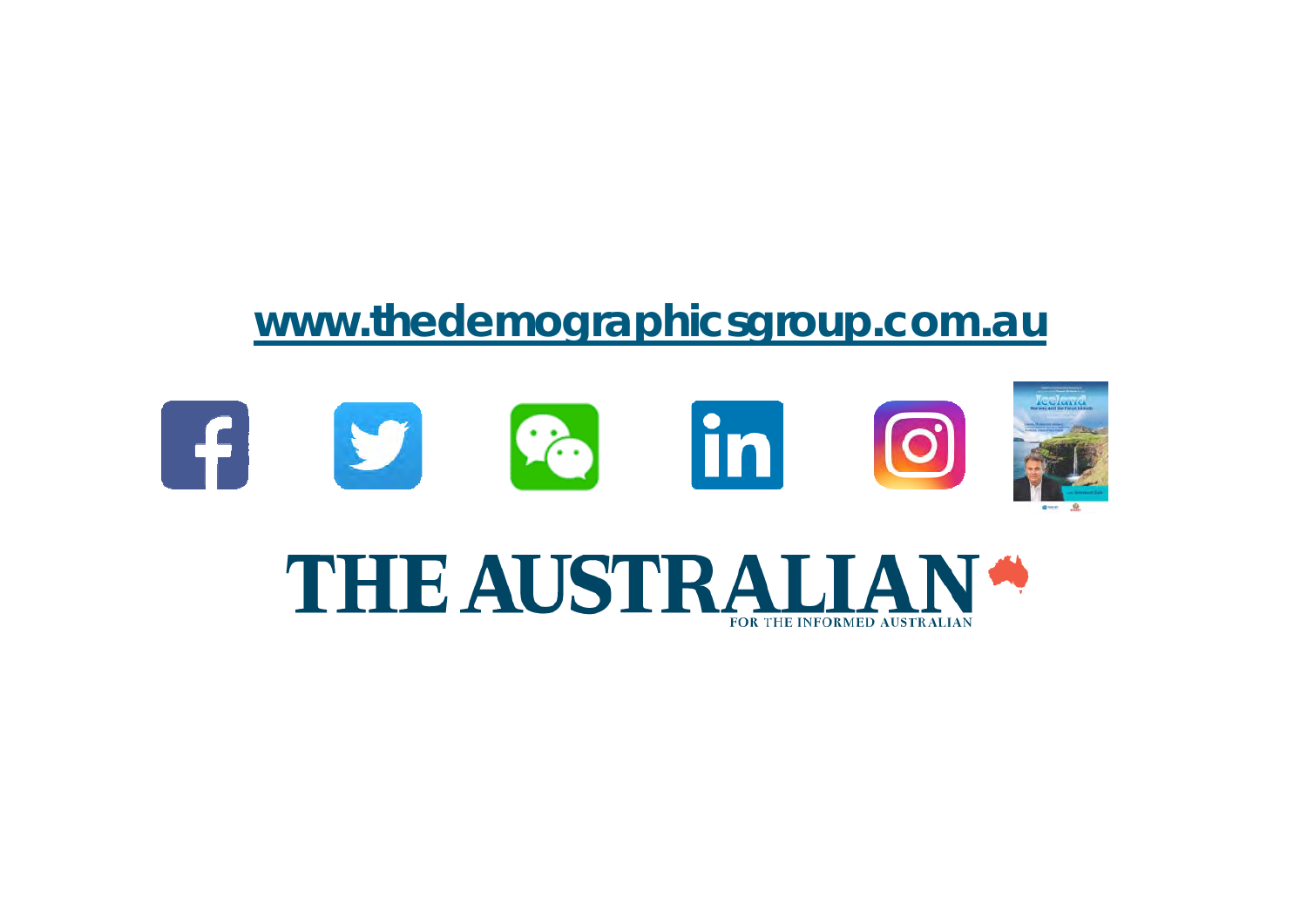## **www.thedemographicsgroup.com.au**